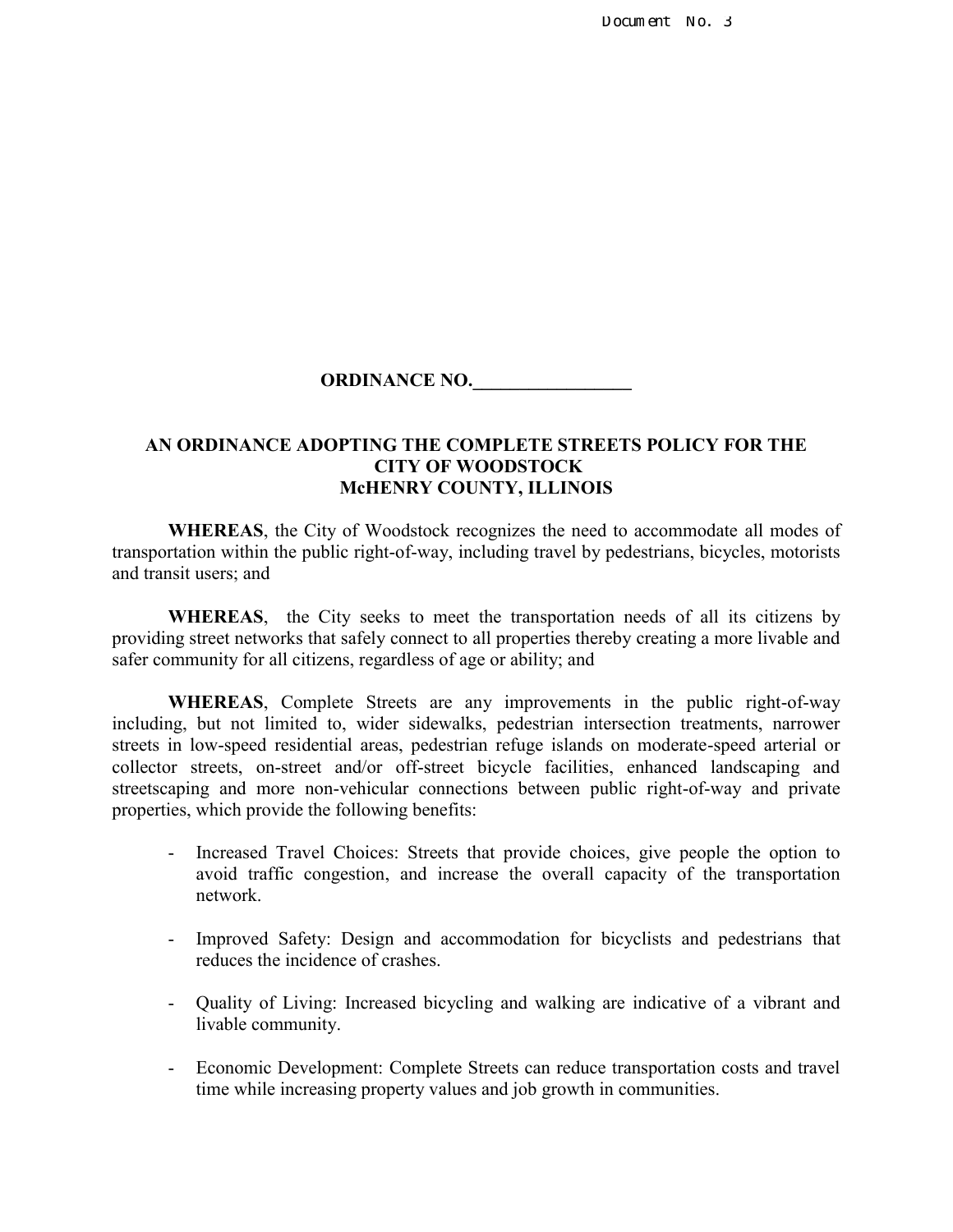Document No. 3

## **ORDINANCE NO.**

## **AN ORDINANCE ADOPTING THE COMPLETE STREETS POLICY FOR THE CITY OF WOODSTOCK McHENRY COUNTY, ILLINOIS**

**WHEREAS**, the City of Woodstock recognizes the need to accommodate all modes of transportation within the public right-of-way, including travel by pedestrians, bicycles, motorists and transit users; and

**WHEREAS**, the City seeks to meet the transportation needs of all its citizens by providing street networks that safely connect to all properties thereby creating a more livable and safer community for all citizens, regardless of age or ability; and

**WHEREAS**, Complete Streets are any improvements in the public right-of-way including, but not limited to, wider sidewalks, pedestrian intersection treatments, narrower streets in low-speed residential areas, pedestrian refuge islands on moderate-speed arterial or collector streets, on-street and/or off-street bicycle facilities, enhanced landscaping and streetscaping and more non-vehicular connections between public right-of-way and private properties, which provide the following benefits:

- Increased Travel Choices: Streets that provide choices, give people the option to avoid traffic congestion, and increase the overall capacity of the transportation network.
- Improved Safety: Design and accommodation for bicyclists and pedestrians that reduces the incidence of crashes.
- Quality of Living: Increased bicycling and walking are indicative of a vibrant and livable community.
- Economic Development: Complete Streets can reduce transportation costs and travel time while increasing property values and job growth in communities.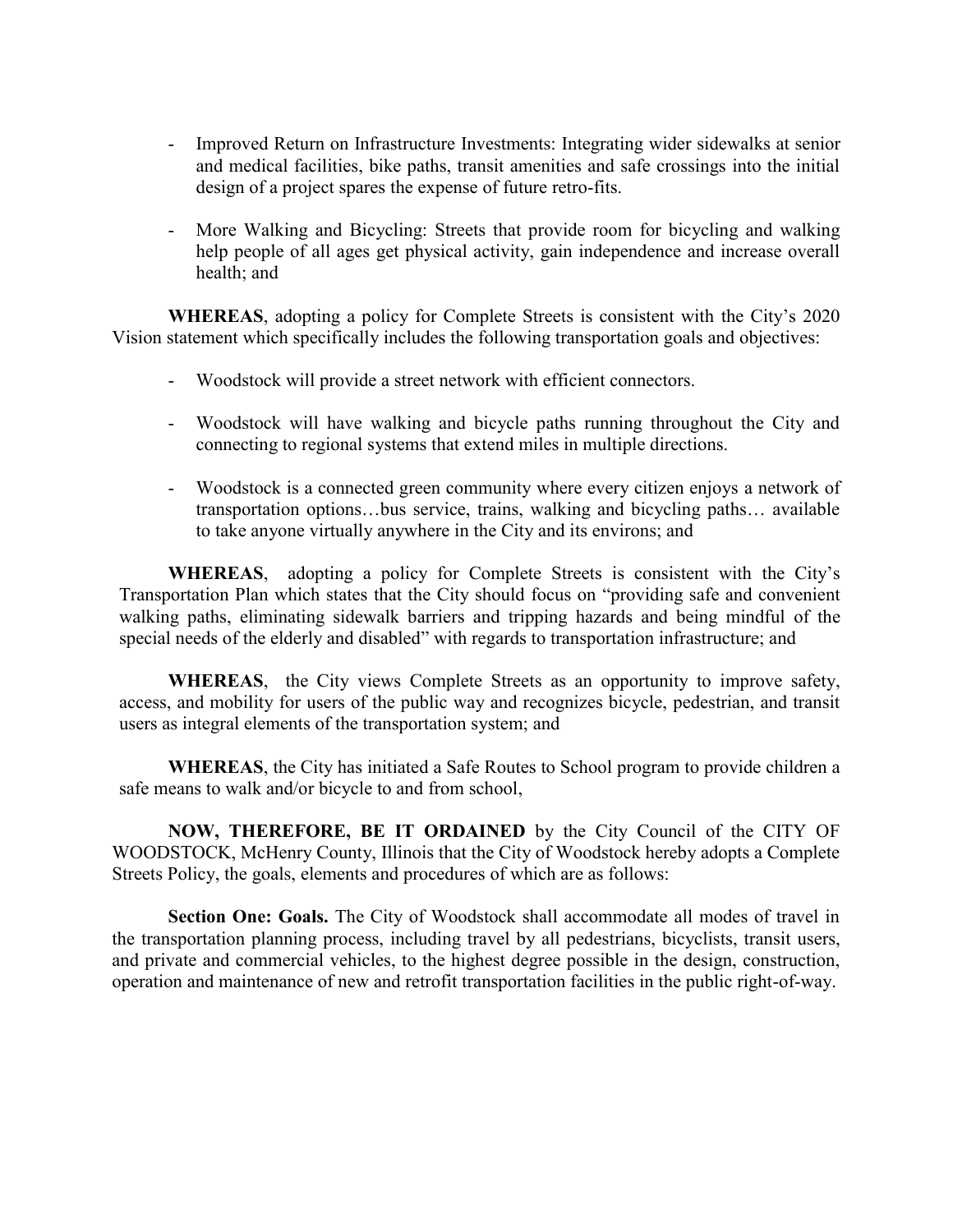- Improved Return on Infrastructure Investments: Integrating wider sidewalks at senior and medical facilities, bike paths, transit amenities and safe crossings into the initial design of a project spares the expense of future retro-fits.
- More Walking and Bicycling: Streets that provide room for bicycling and walking help people of all ages get physical activity, gain independence and increase overall health; and

**WHEREAS**, adopting a policy for Complete Streets is consistent with the City's 2020 Vision statement which specifically includes the following transportation goals and objectives:

- Woodstock will provide a street network with efficient connectors.
- Woodstock will have walking and bicycle paths running throughout the City and connecting to regional systems that extend miles in multiple directions.
- Woodstock is a connected green community where every citizen enjoys a network of transportation options…bus service, trains, walking and bicycling paths… available to take anyone virtually anywhere in the City and its environs; and

**WHEREAS**, adopting a policy for Complete Streets is consistent with the City's Transportation Plan which states that the City should focus on "providing safe and convenient walking paths, eliminating sidewalk barriers and tripping hazards and being mindful of the special needs of the elderly and disabled" with regards to transportation infrastructure; and

**WHEREAS**, the City views Complete Streets as an opportunity to improve safety, access, and mobility for users of the public way and recognizes bicycle, pedestrian, and transit users as integral elements of the transportation system; and

**WHEREAS**, the City has initiated a Safe Routes to School program to provide children a safe means to walk and/or bicycle to and from school,

**NOW, THEREFORE, BE IT ORDAINED** by the City Council of the CITY OF WOODSTOCK, McHenry County, Illinois that the City of Woodstock hereby adopts a Complete Streets Policy, the goals, elements and procedures of which are as follows:

**Section One: Goals.** The City of Woodstock shall accommodate all modes of travel in the transportation planning process, including travel by all pedestrians, bicyclists, transit users, and private and commercial vehicles, to the highest degree possible in the design, construction, operation and maintenance of new and retrofit transportation facilities in the public right-of-way.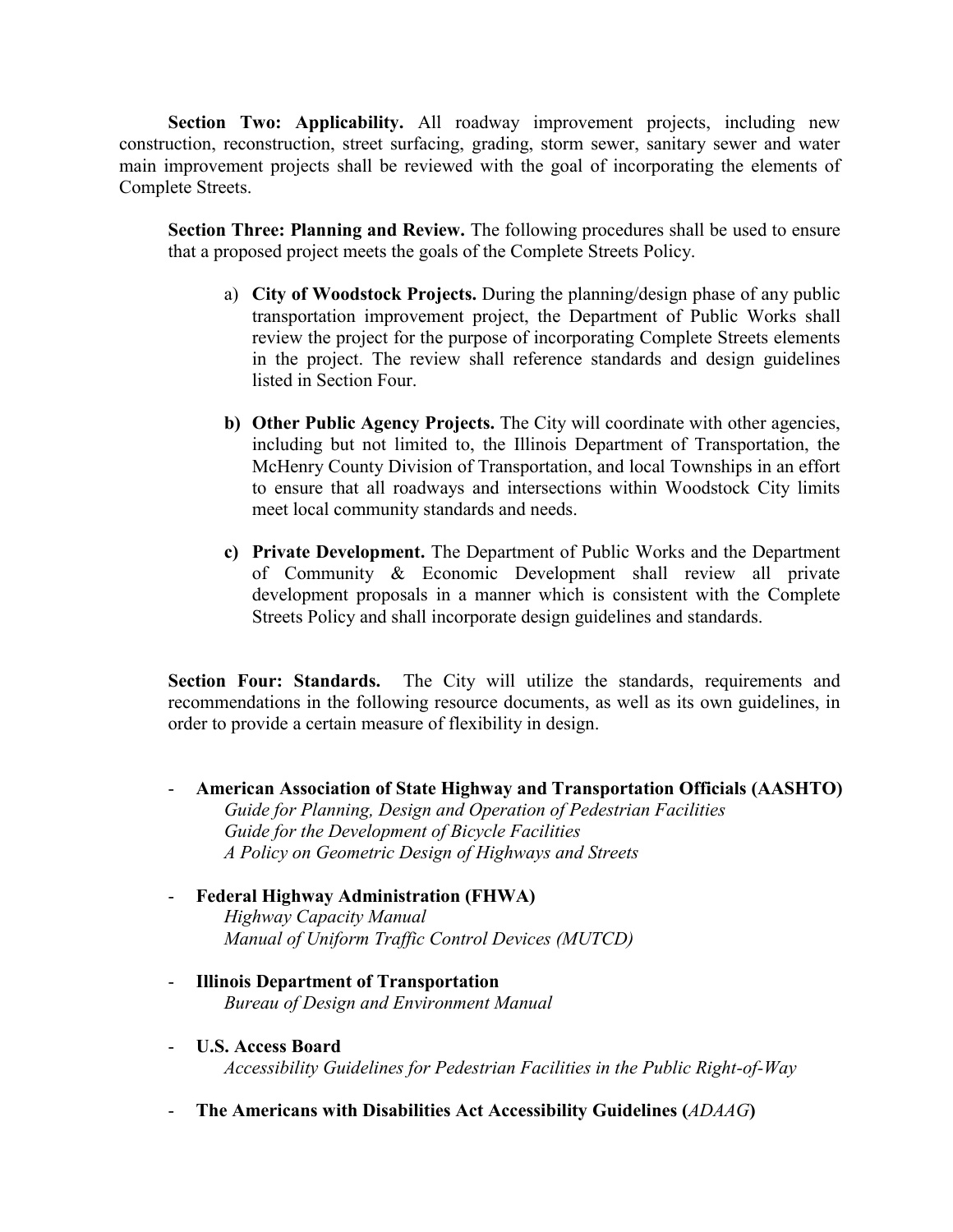**Section Two: Applicability.** All roadway improvement projects, including new construction, reconstruction, street surfacing, grading, storm sewer, sanitary sewer and water main improvement projects shall be reviewed with the goal of incorporating the elements of Complete Streets.

**Section Three: Planning and Review.** The following procedures shall be used to ensure that a proposed project meets the goals of the Complete Streets Policy.

- a) **City of Woodstock Projects.** During the planning/design phase of any public transportation improvement project, the Department of Public Works shall review the project for the purpose of incorporating Complete Streets elements in the project. The review shall reference standards and design guidelines listed in Section Four.
- **b) Other Public Agency Projects.** The City will coordinate with other agencies, including but not limited to, the Illinois Department of Transportation, the McHenry County Division of Transportation, and local Townships in an effort to ensure that all roadways and intersections within Woodstock City limits meet local community standards and needs.
- **c) Private Development.** The Department of Public Works and the Department of Community & Economic Development shall review all private development proposals in a manner which is consistent with the Complete Streets Policy and shall incorporate design guidelines and standards.

**Section Four: Standards.** The City will utilize the standards, requirements and recommendations in the following resource documents, as well as its own guidelines, in order to provide a certain measure of flexibility in design.

- **American Association of State Highway and Transportation Officials (AASHTO)**  *Guide for Planning, Design and Operation of Pedestrian Facilities Guide for the Development of Bicycle Facilities A Policy on Geometric Design of Highways and Streets*
- **Federal Highway Administration (FHWA)**  *Highway Capacity Manual Manual of Uniform Traffic Control Devices (MUTCD)*
- **Illinois Department of Transportation** *Bureau of Design and Environment Manual*
- **U.S. Access Board**  *Accessibility Guidelines for Pedestrian Facilities in the Public Right-of-Way*
- **The Americans with Disabilities Act Accessibility Guidelines (***ADAAG***)**